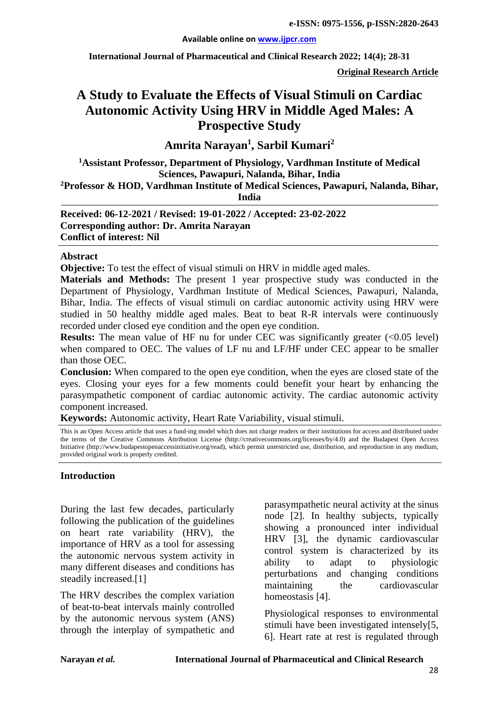**International Journal of Pharmaceutical and Clinical Research 2022; 14(4); 28-31**

**Original Research Article**

# **A Study to Evaluate the Effects of Visual Stimuli on Cardiac Autonomic Activity Using HRV in Middle Aged Males: A Prospective Study**

**Amrita Narayan1 , Sarbil Kumari<sup>2</sup>**

**1 Assistant Professor, Department of Physiology, Vardhman Institute of Medical Sciences, Pawapuri, Nalanda, Bihar, India 2Professor & HOD, Vardhman Institute of Medical Sciences, Pawapuri, Nalanda, Bihar,** 

**India**

**Received: 06-12-2021 / Revised: 19-01-2022 / Accepted: 23-02-2022 Corresponding author: Dr. Amrita Narayan Conflict of interest: Nil**

#### **Abstract**

**Objective:** To test the effect of visual stimuli on HRV in middle aged males.

**Materials and Methods:** The present 1 year prospective study was conducted in the Department of Physiology, Vardhman Institute of Medical Sciences, Pawapuri, Nalanda, Bihar, India. The effects of visual stimuli on cardiac autonomic activity using HRV were studied in 50 healthy middle aged males. Beat to beat R-R intervals were continuously recorded under closed eye condition and the open eye condition.

**Results:** The mean value of HF nu for under CEC was significantly greater (<0.05 level) when compared to OEC. The values of LF nu and LF/HF under CEC appear to be smaller than those OEC.

**Conclusion:** When compared to the open eye condition, when the eyes are closed state of the eyes. Closing your eyes for a few moments could benefit your heart by enhancing the parasympathetic component of cardiac autonomic activity. The cardiac autonomic activity component increased.

**Keywords:** Autonomic activity, Heart Rate Variability, visual stimuli.

This is an Open Access article that uses a fund-ing model which does not charge readers or their institutions for access and distributed under the terms of the Creative Commons Attribution License (http://creativecommons.org/licenses/by/4.0) and the Budapest Open Access Initiative (http://www.budapestopenaccessinitiative.org/read), which permit unrestricted use, distribution, and reproduction in any medium, provided original work is properly credited.

#### **Introduction**

During the last few decades, particularly following the publication of the guidelines on heart rate variability (HRV), the importance of HRV as a tool for assessing the autonomic nervous system activity in many different diseases and conditions has steadily increased.[1]

The HRV describes the complex variation of beat-to-beat intervals mainly controlled by the autonomic nervous system (ANS) through the interplay of sympathetic and parasympathetic neural activity at the sinus node [2]. In healthy subjects, typically showing a pronounced inter individual HRV [3], the dynamic cardiovascular control system is characterized by its ability to adapt to physiologic perturbations and changing conditions maintaining the cardiovascular homeostasis [4].

Physiological responses to environmental stimuli have been investigated intensely[5, 6]. Heart rate at rest is regulated through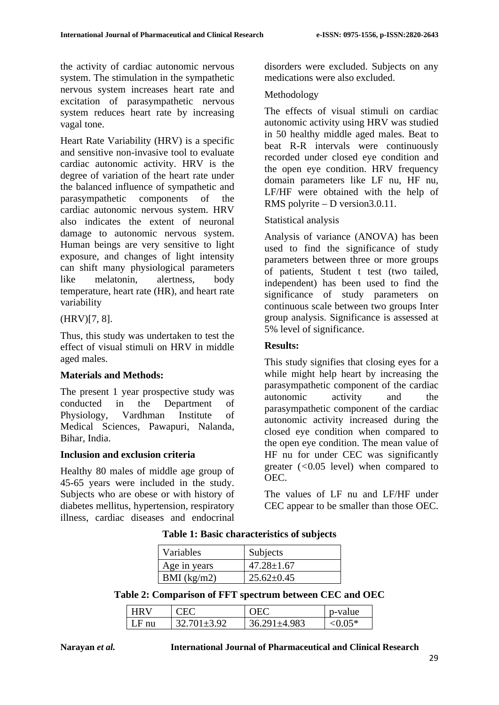the activity of cardiac autonomic nervous system. The stimulation in the sympathetic nervous system increases heart rate and excitation of parasympathetic nervous system reduces heart rate by increasing vagal tone.

Heart Rate Variability (HRV) is a specific and sensitive non-invasive tool to evaluate cardiac autonomic activity. HRV is the degree of variation of the heart rate under the balanced influence of sympathetic and parasympathetic components of the cardiac autonomic nervous system. HRV also indicates the extent of neuronal damage to autonomic nervous system. Human beings are very sensitive to light exposure, and changes of light intensity can shift many physiological parameters like melatonin, alertness, body temperature, heart rate (HR), and heart rate variability

# (HRV)[7, 8].

Thus, this study was undertaken to test the effect of visual stimuli on HRV in middle aged males.

# **Materials and Methods:**

The present 1 year prospective study was conducted in the Department of Physiology, Vardhman Institute of Medical Sciences, Pawapuri, Nalanda, Bihar, India.

#### **Inclusion and exclusion criteria**

Healthy 80 males of middle age group of 45-65 years were included in the study. Subjects who are obese or with history of diabetes mellitus, hypertension, respiratory illness, cardiac diseases and endocrinal disorders were excluded. Subjects on any medications were also excluded.

# Methodology

The effects of visual stimuli on cardiac autonomic activity using HRV was studied in 50 healthy middle aged males. Beat to beat R-R intervals were continuously recorded under closed eye condition and the open eye condition. HRV frequency domain parameters like LF nu, HF nu, LF/HF were obtained with the help of RMS polyrite – D version3.0.11.

#### Statistical analysis

Analysis of variance (ANOVA) has been used to find the significance of study parameters between three or more groups of patients, Student t test (two tailed, independent) has been used to find the significance of study parameters on continuous scale between two groups Inter group analysis. Significance is assessed at 5% level of significance.

# **Results:**

This study signifies that closing eyes for a while might help heart by increasing the parasympathetic component of the cardiac autonomic activity and the parasympathetic component of the cardiac autonomic activity increased during the closed eye condition when compared to the open eye condition. The mean value of HF nu for under CEC was significantly greater (*<*0.05 level) when compared to OEC.

The values of LF nu and LF/HF under CEC appear to be smaller than those OEC.

# **Table 1: Basic characteristics of subjects**

| Variables     | Subjects         |
|---------------|------------------|
| Age in years  | $47.28 \pm 1.67$ |
| BMI $(kg/m2)$ | $25.62 \pm 0.45$ |

#### **Table 2: Comparison of FFT spectrum between CEC and OEC**

| <b>HRV</b> | $\Gamma$ $\Gamma$ | $\Omega$           | p-value      |
|------------|-------------------|--------------------|--------------|
| $LF$ nu    | $32.701 \pm 3.92$ | $36.291 \pm 4.983$ | $\leq$ 0.05* |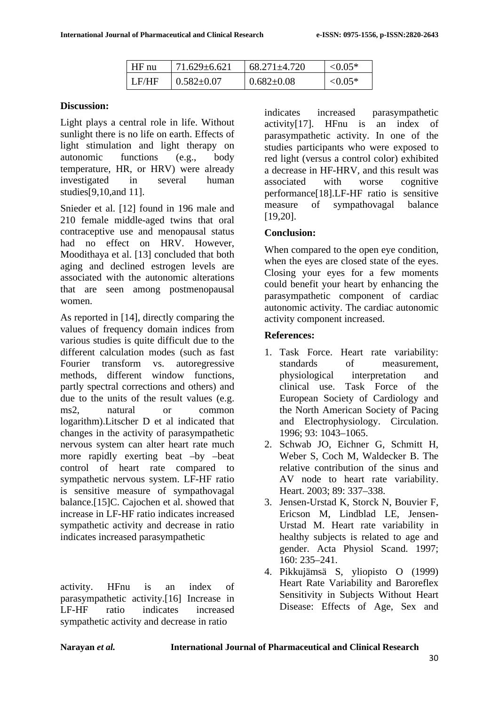| $HF$ nu       | $71.629 \pm 6.621$ | 68.271±4.720     | $\leq 0.05*$ |
|---------------|--------------------|------------------|--------------|
| $\perp$ LE/HF | $0.582 \pm 0.07$   | $0.682 \pm 0.08$ | ${<}0.05*$   |

# **Discussion:**

Light plays a central role in life. Without sunlight there is no life on earth. Effects of light stimulation and light therapy on autonomic functions (e.g., body temperature, HR, or HRV) were already investigated in several human studies[9,10,and 11].

Snieder et al. [12] found in 196 male and 210 female middle-aged twins that oral contraceptive use and menopausal status had no effect on HRV. However, Moodithaya et al. [13] concluded that both aging and declined estrogen levels are associated with the autonomic alterations that are seen among postmenopausal women.

As reported in [14], directly comparing the values of frequency domain indices from various studies is quite difficult due to the different calculation modes (such as fast Fourier transform vs. autoregressive methods, different window functions, partly spectral corrections and others) and due to the units of the result values (e.g. ms2, natural or common logarithm).Litscher D et al indicated that changes in the activity of parasympathetic nervous system can alter heart rate much more rapidly exerting beat –by –beat control of heart rate compared to sympathetic nervous system. LF-HF ratio is sensitive measure of sympathovagal balance.[15]C. Cajochen et al. showed that increase in LF-HF ratio indicates increased sympathetic activity and decrease in ratio indicates increased parasympathetic

activity. HFnu is an index of parasympathetic activity.[16] Increase in LF-HF ratio indicates increased sympathetic activity and decrease in ratio

indicates increased parasympathetic activity[17]. HFnu is an index of parasympathetic activity. In one of the studies participants who were exposed to red light (versus a control color) exhibited a decrease in HF-HRV, and this result was associated with worse cognitive performance[18].LF-HF ratio is sensitive measure of sympathovagal balance [19,20].

# **Conclusion:**

When compared to the open eye condition, when the eyes are closed state of the eyes. Closing your eyes for a few moments could benefit your heart by enhancing the parasympathetic component of cardiac autonomic activity. The cardiac autonomic activity component increased.

# **References:**

- 1. Task Force. Heart rate variability: standards of measurement, physiological interpretation and clinical use. Task Force of the European Society of Cardiology and the North American Society of Pacing and Electrophysiology. Circulation. 1996; 93: 1043–1065.
- 2. Schwab JO, Eichner G, Schmitt H, Weber S, Coch M, Waldecker B. The relative contribution of the sinus and AV node to heart rate variability. Heart. 2003; 89: 337–338.
- 3. Jensen-Urstad K, Storck N, Bouvier F, Ericson M, Lindblad LE, Jensen-Urstad M. Heart rate variability in healthy subjects is related to age and gender. Acta Physiol Scand. 1997; 160: 235–241.
- 4. Pikkujämsä S, yliopisto O (1999) Heart Rate Variability and Baroreflex Sensitivity in Subjects Without Heart Disease: Effects of Age, Sex and